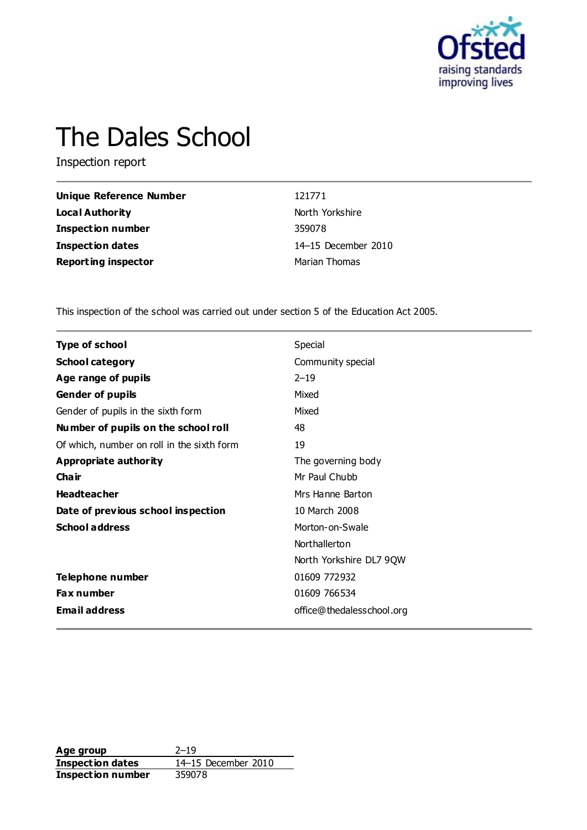

# The Dales School

Inspection report

| Unique Reference Number    | 121771              |
|----------------------------|---------------------|
| Local Authority            | North Yorkshire     |
| Inspection number          | 359078              |
| <b>Inspection dates</b>    | 14-15 December 2010 |
| <b>Reporting inspector</b> | Marian Thomas       |

This inspection of the school was carried out under section 5 of the Education Act 2005.

| <b>Type of school</b>                      | Special                   |
|--------------------------------------------|---------------------------|
| <b>School category</b>                     | Community special         |
| Age range of pupils                        | $2 - 19$                  |
| <b>Gender of pupils</b>                    | Mixed                     |
| Gender of pupils in the sixth form         | Mixed                     |
| Number of pupils on the school roll        | 48                        |
| Of which, number on roll in the sixth form | 19                        |
| Appropriate authority                      | The governing body        |
| Cha ir                                     | Mr Paul Chubb             |
| <b>Headteacher</b>                         | Mrs Hanne Barton          |
| Date of previous school inspection         | 10 March 2008             |
| <b>School address</b>                      | Morton-on-Swale           |
|                                            | Northallerton             |
|                                            | North Yorkshire DL7 9QW   |
| Telephone number                           | 01609 772932              |
| Fax number                                 | 01609 766534              |
| <b>Email address</b>                       | office@thedalesschool.org |

Age group<br> **Inspection dates** 2010<br>
214–15 December 2010 **Inspection dates** 14–15 December 2010 **Inspection number** 359078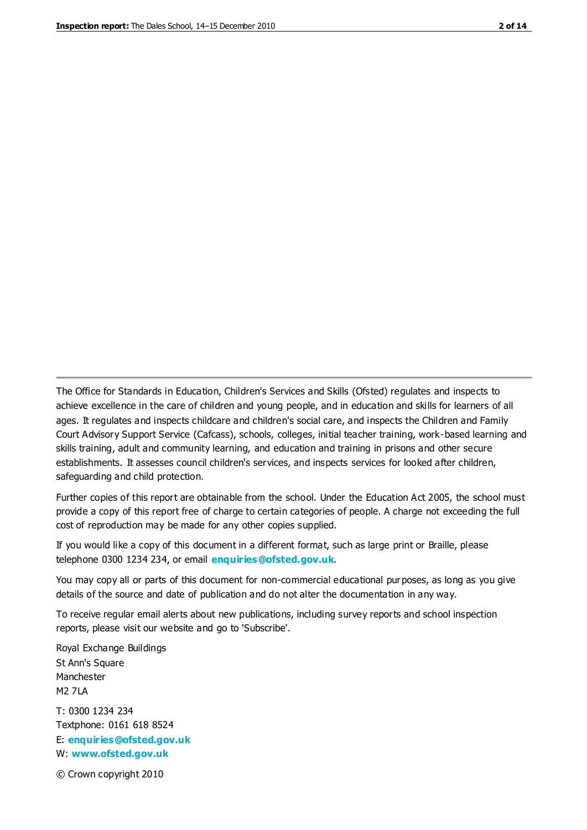The Office for Standards in Education, Children's Services and Skills (Ofsted) regulates and inspects to achieve excellence in the care of children and young people, and in education and skills for learners of all ages. It regulates and inspects childcare and children's social care, and inspects the Children and Family Court Advisory Support Service (Cafcass), schools, colleges, initial teacher training, work-based learning and skills training, adult and community learning, and education and training in prisons and other secure establishments. It assesses council children's services, and inspects services for looked after children, safeguarding and child protection.

Further copies of this report are obtainable from the school. Under the Education Act 2005, the school must provide a copy of this report free of charge to certain categories of people. A charge not exceeding the full cost of reproduction may be made for any other copies supplied.

If you would like a copy of this document in a different format, such as large print or Braille, please telephone 0300 1234 234, or email **[enquiries@ofsted.gov.uk](mailto:enquiries@ofsted.gov.uk)**.

You may copy all or parts of this document for non-commercial educational purposes, as long as you give details of the source and date of publication and do not alter the documentation in any way.

To receive regular email alerts about new publications, including survey reports and school inspection reports, please visit our website and go to 'Subscribe'.

Royal Exchange Buildings St Ann's Square Manchester M2 7LA T: 0300 1234 234 Textphone: 0161 618 8524 E: **[enquiries@ofsted.gov.uk](mailto:enquiries@ofsted.gov.uk)**

W: **[www.ofsted.gov.uk](http://www.ofsted.gov.uk/)**

© Crown copyright 2010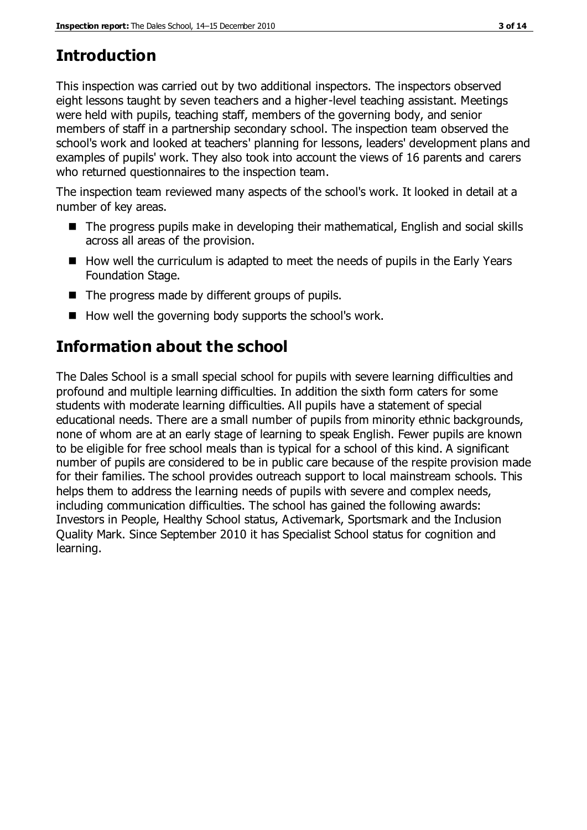## **Introduction**

This inspection was carried out by two additional inspectors. The inspectors observed eight lessons taught by seven teachers and a higher-level teaching assistant. Meetings were held with pupils, teaching staff, members of the governing body, and senior members of staff in a partnership secondary school. The inspection team observed the school's work and looked at teachers' planning for lessons, leaders' development plans and examples of pupils' work. They also took into account the views of 16 parents and carers who returned questionnaires to the inspection team.

The inspection team reviewed many aspects of the school's work. It looked in detail at a number of key areas.

- The progress pupils make in developing their mathematical, English and social skills across all areas of the provision.
- How well the curriculum is adapted to meet the needs of pupils in the Early Years Foundation Stage.
- $\blacksquare$  The progress made by different groups of pupils.
- How well the governing body supports the school's work.

## **Information about the school**

The Dales School is a small special school for pupils with severe learning difficulties and profound and multiple learning difficulties. In addition the sixth form caters for some students with moderate learning difficulties. All pupils have a statement of special educational needs. There are a small number of pupils from minority ethnic backgrounds, none of whom are at an early stage of learning to speak English. Fewer pupils are known to be eligible for free school meals than is typical for a school of this kind. A significant number of pupils are considered to be in public care because of the respite provision made for their families. The school provides outreach support to local mainstream schools. This helps them to address the learning needs of pupils with severe and complex needs, including communication difficulties. The school has gained the following awards: Investors in People, Healthy School status, Activemark, Sportsmark and the Inclusion Quality Mark. Since September 2010 it has Specialist School status for cognition and learning.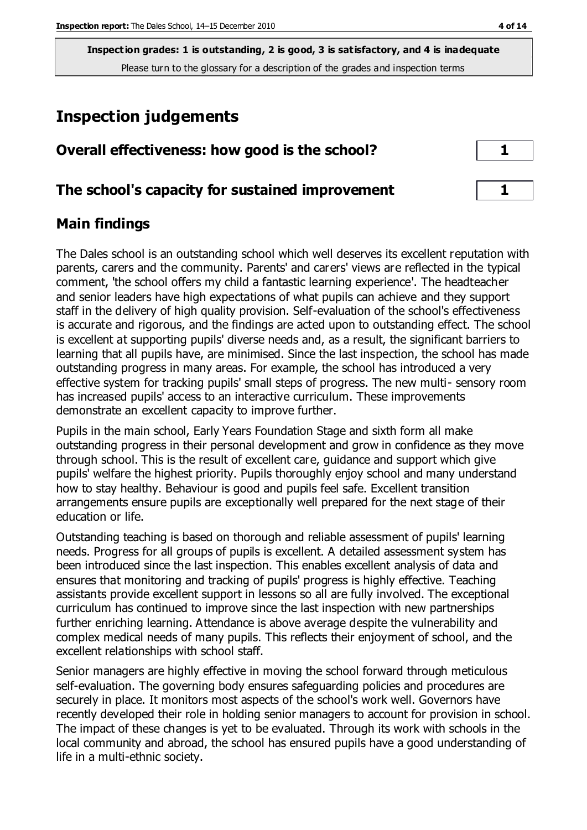**Inspection grades: 1 is outstanding, 2 is good, 3 is satisfactory, and 4 is inadequate** Please turn to the glossary for a description of the grades and inspection terms

## **Inspection judgements**

| Overall effectiveness: how good is the school?  |  |
|-------------------------------------------------|--|
| The school's capacity for sustained improvement |  |

### **Main findings**

The Dales school is an outstanding school which well deserves its excellent reputation with parents, carers and the community. Parents' and carers' views are reflected in the typical comment, 'the school offers my child a fantastic learning experience'. The headteacher and senior leaders have high expectations of what pupils can achieve and they support staff in the delivery of high quality provision. Self-evaluation of the school's effectiveness is accurate and rigorous, and the findings are acted upon to outstanding effect. The school is excellent at supporting pupils' diverse needs and, as a result, the significant barriers to learning that all pupils have, are minimised. Since the last inspection, the school has made outstanding progress in many areas. For example, the school has introduced a very effective system for tracking pupils' small steps of progress. The new multi- sensory room has increased pupils' access to an interactive curriculum. These improvements demonstrate an excellent capacity to improve further.

Pupils in the main school, Early Years Foundation Stage and sixth form all make outstanding progress in their personal development and grow in confidence as they move through school. This is the result of excellent care, guidance and support which give pupils' welfare the highest priority. Pupils thoroughly enjoy school and many understand how to stay healthy. Behaviour is good and pupils feel safe. Excellent transition arrangements ensure pupils are exceptionally well prepared for the next stage of their education or life.

Outstanding teaching is based on thorough and reliable assessment of pupils' learning needs. Progress for all groups of pupils is excellent. A detailed assessment system has been introduced since the last inspection. This enables excellent analysis of data and ensures that monitoring and tracking of pupils' progress is highly effective. Teaching assistants provide excellent support in lessons so all are fully involved. The exceptional curriculum has continued to improve since the last inspection with new partnerships further enriching learning. Attendance is above average despite the vulnerability and complex medical needs of many pupils. This reflects their enjoyment of school, and the excellent relationships with school staff.

Senior managers are highly effective in moving the school forward through meticulous self-evaluation. The governing body ensures safeguarding policies and procedures are securely in place. It monitors most aspects of the school's work well. Governors have recently developed their role in holding senior managers to account for provision in school. The impact of these changes is yet to be evaluated. Through its work with schools in the local community and abroad, the school has ensured pupils have a good understanding of life in a multi-ethnic society.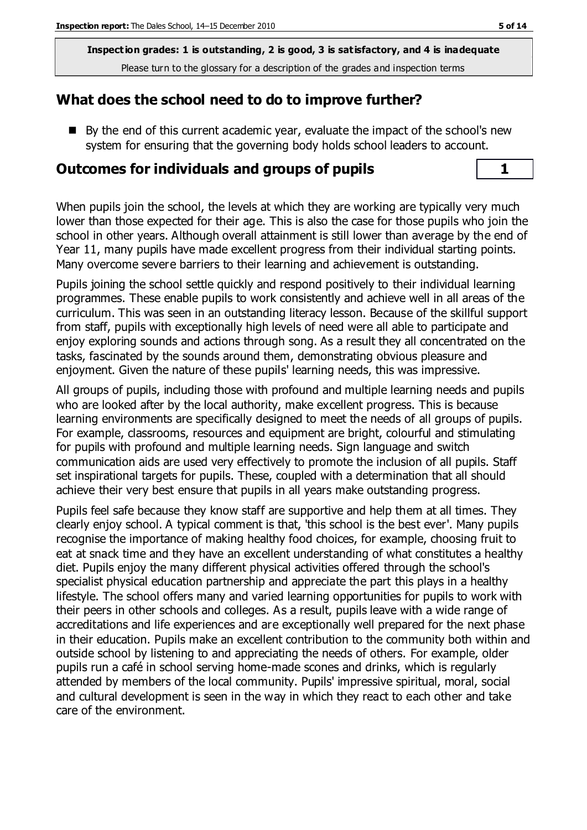**Inspection grades: 1 is outstanding, 2 is good, 3 is satisfactory, and 4 is inadequate** Please turn to the glossary for a description of the grades and inspection terms

#### **What does the school need to do to improve further?**

By the end of this current academic year, evaluate the impact of the school's new system for ensuring that the governing body holds school leaders to account.

#### **Outcomes for individuals and groups of pupils 1**

When pupils join the school, the levels at which they are working are typically very much lower than those expected for their age. This is also the case for those pupils who join the school in other years. Although overall attainment is still lower than average by the end of Year 11, many pupils have made excellent progress from their individual starting points. Many overcome severe barriers to their learning and achievement is outstanding.

Pupils joining the school settle quickly and respond positively to their individual learning programmes. These enable pupils to work consistently and achieve well in all areas of the curriculum. This was seen in an outstanding literacy lesson. Because of the skillful support from staff, pupils with exceptionally high levels of need were all able to participate and enjoy exploring sounds and actions through song. As a result they all concentrated on the tasks, fascinated by the sounds around them, demonstrating obvious pleasure and enjoyment. Given the nature of these pupils' learning needs, this was impressive.

All groups of pupils, including those with profound and multiple learning needs and pupils who are looked after by the local authority, make excellent progress. This is because learning environments are specifically designed to meet the needs of all groups of pupils. For example, classrooms, resources and equipment are bright, colourful and stimulating for pupils with profound and multiple learning needs. Sign language and switch communication aids are used very effectively to promote the inclusion of all pupils. Staff set inspirational targets for pupils. These, coupled with a determination that all should achieve their very best ensure that pupils in all years make outstanding progress.

Pupils feel safe because they know staff are supportive and help them at all times. They clearly enjoy school. A typical comment is that, 'this school is the best ever'. Many pupils recognise the importance of making healthy food choices, for example, choosing fruit to eat at snack time and they have an excellent understanding of what constitutes a healthy diet. Pupils enjoy the many different physical activities offered through the school's specialist physical education partnership and appreciate the part this plays in a healthy lifestyle. The school offers many and varied learning opportunities for pupils to work with their peers in other schools and colleges. As a result, pupils leave with a wide range of accreditations and life experiences and are exceptionally well prepared for the next phase in their education. Pupils make an excellent contribution to the community both within and outside school by listening to and appreciating the needs of others. For example, older pupils run a café in school serving home-made scones and drinks, which is regularly attended by members of the local community. Pupils' impressive spiritual, moral, social and cultural development is seen in the way in which they react to each other and take care of the environment.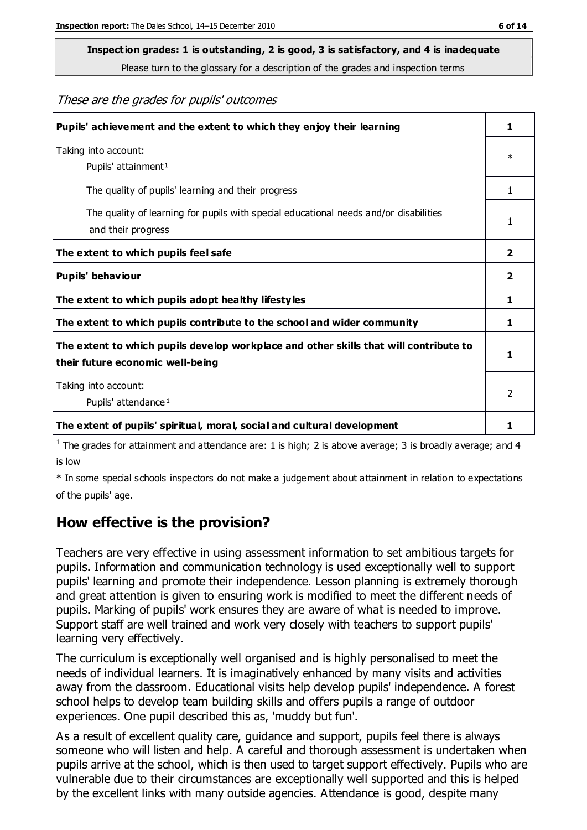Please turn to the glossary for a description of the grades and inspection terms

#### These are the grades for pupils' outcomes

| Pupils' achievement and the extent to which they enjoy their learning                                                     | 1                       |
|---------------------------------------------------------------------------------------------------------------------------|-------------------------|
| Taking into account:<br>Pupils' attainment <sup>1</sup>                                                                   | $\ast$                  |
| The quality of pupils' learning and their progress                                                                        |                         |
| The quality of learning for pupils with special educational needs and/or disabilities<br>and their progress               | 1                       |
| The extent to which pupils feel safe                                                                                      | $\overline{\mathbf{2}}$ |
| Pupils' behaviour                                                                                                         | 2                       |
| The extent to which pupils adopt healthy lifestyles                                                                       | 1                       |
| The extent to which pupils contribute to the school and wider community                                                   | 1                       |
| The extent to which pupils develop workplace and other skills that will contribute to<br>their future economic well-being | 1                       |
| Taking into account:<br>Pupils' attendance <sup>1</sup>                                                                   | $\mathfrak{p}$          |
| The extent of pupils' spiritual, moral, social and cultural development                                                   | 1                       |

<sup>1</sup> The grades for attainment and attendance are: 1 is high; 2 is above average; 3 is broadly average; and 4 is low

\* In some special schools inspectors do not make a judgement about attainment in relation to expectations of the pupils' age.

#### **How effective is the provision?**

Teachers are very effective in using assessment information to set ambitious targets for pupils. Information and communication technology is used exceptionally well to support pupils' learning and promote their independence. Lesson planning is extremely thorough and great attention is given to ensuring work is modified to meet the different needs of pupils. Marking of pupils' work ensures they are aware of what is needed to improve. Support staff are well trained and work very closely with teachers to support pupils' learning very effectively.

The curriculum is exceptionally well organised and is highly personalised to meet the needs of individual learners. It is imaginatively enhanced by many visits and activities away from the classroom. Educational visits help develop pupils' independence. A forest school helps to develop team building skills and offers pupils a range of outdoor experiences. One pupil described this as, 'muddy but fun'.

As a result of excellent quality care, guidance and support, pupils feel there is always someone who will listen and help. A careful and thorough assessment is undertaken when pupils arrive at the school, which is then used to target support effectively. Pupils who are vulnerable due to their circumstances are exceptionally well supported and this is helped by the excellent links with many outside agencies. Attendance is good, despite many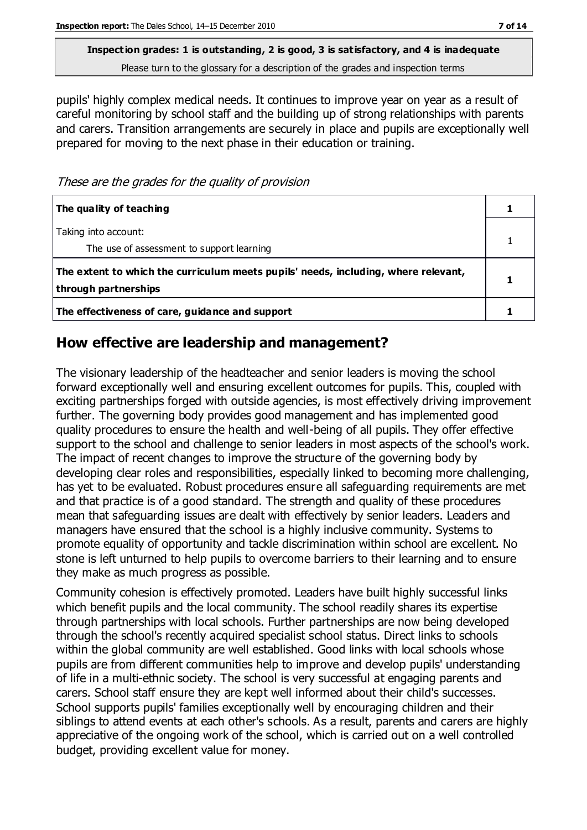Please turn to the glossary for a description of the grades and inspection terms

pupils' highly complex medical needs. It continues to improve year on year as a result of careful monitoring by school staff and the building up of strong relationships with parents and carers. Transition arrangements are securely in place and pupils are exceptionally well prepared for moving to the next phase in their education or training.

These are the grades for the quality of provision

| The quality of teaching                                                                                    |  |
|------------------------------------------------------------------------------------------------------------|--|
| Taking into account:<br>The use of assessment to support learning                                          |  |
| The extent to which the curriculum meets pupils' needs, including, where relevant,<br>through partnerships |  |
| The effectiveness of care, guidance and support                                                            |  |

#### **How effective are leadership and management?**

The visionary leadership of the headteacher and senior leaders is moving the school forward exceptionally well and ensuring excellent outcomes for pupils. This, coupled with exciting partnerships forged with outside agencies, is most effectively driving improvement further. The governing body provides good management and has implemented good quality procedures to ensure the health and well-being of all pupils. They offer effective support to the school and challenge to senior leaders in most aspects of the school's work. The impact of recent changes to improve the structure of the governing body by developing clear roles and responsibilities, especially linked to becoming more challenging, has yet to be evaluated. Robust procedures ensure all safeguarding requirements are met and that practice is of a good standard. The strength and quality of these procedures mean that safeguarding issues are dealt with effectively by senior leaders. Leaders and managers have ensured that the school is a highly inclusive community. Systems to promote equality of opportunity and tackle discrimination within school are excellent. No stone is left unturned to help pupils to overcome barriers to their learning and to ensure they make as much progress as possible.

Community cohesion is effectively promoted. Leaders have built highly successful links which benefit pupils and the local community. The school readily shares its expertise through partnerships with local schools. Further partnerships are now being developed through the school's recently acquired specialist school status. Direct links to schools within the global community are well established. Good links with local schools whose pupils are from different communities help to improve and develop pupils' understanding of life in a multi-ethnic society. The school is very successful at engaging parents and carers. School staff ensure they are kept well informed about their child's successes. School supports pupils' families exceptionally well by encouraging children and their siblings to attend events at each other's schools. As a result, parents and carers are highly appreciative of the ongoing work of the school, which is carried out on a well controlled budget, providing excellent value for money.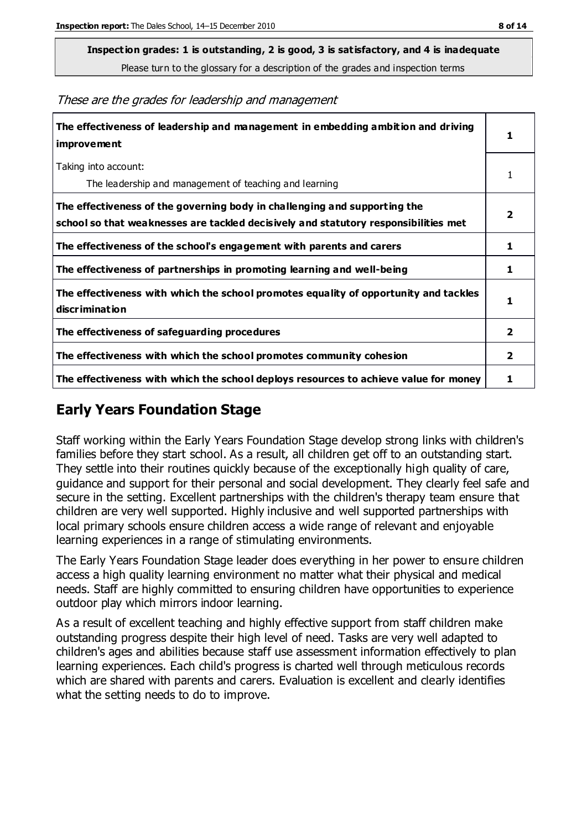Please turn to the glossary for a description of the grades and inspection terms

These are the grades for leadership and management

| The effectiveness of leadership and management in embedding ambition and driving<br>improvement                                                                  | 1            |
|------------------------------------------------------------------------------------------------------------------------------------------------------------------|--------------|
| Taking into account:<br>The leadership and management of teaching and learning                                                                                   | 1            |
| The effectiveness of the governing body in challenging and supporting the<br>school so that weaknesses are tackled decisively and statutory responsibilities met | 2            |
| The effectiveness of the school's engagement with parents and carers                                                                                             | 1            |
| The effectiveness of partnerships in promoting learning and well-being                                                                                           | 1            |
| The effectiveness with which the school promotes equality of opportunity and tackles<br>discrimination                                                           | 1            |
| The effectiveness of safeguarding procedures                                                                                                                     | 2            |
| The effectiveness with which the school promotes community cohesion                                                                                              | $\mathbf{2}$ |
| The effectiveness with which the school deploys resources to achieve value for money                                                                             | 1            |

#### **Early Years Foundation Stage**

Staff working within the Early Years Foundation Stage develop strong links with children's families before they start school. As a result, all children get off to an outstanding start. They settle into their routines quickly because of the exceptionally high quality of care, guidance and support for their personal and social development. They clearly feel safe and secure in the setting. Excellent partnerships with the children's therapy team ensure that children are very well supported. Highly inclusive and well supported partnerships with local primary schools ensure children access a wide range of relevant and enjoyable learning experiences in a range of stimulating environments.

The Early Years Foundation Stage leader does everything in her power to ensure children access a high quality learning environment no matter what their physical and medical needs. Staff are highly committed to ensuring children have opportunities to experience outdoor play which mirrors indoor learning.

As a result of excellent teaching and highly effective support from staff children make outstanding progress despite their high level of need. Tasks are very well adapted to children's ages and abilities because staff use assessment information effectively to plan learning experiences. Each child's progress is charted well through meticulous records which are shared with parents and carers. Evaluation is excellent and clearly identifies what the setting needs to do to improve.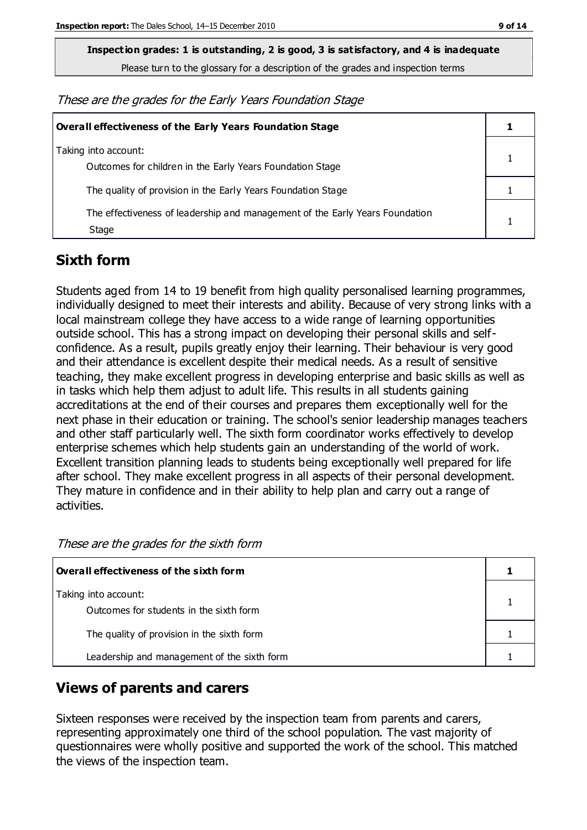Please turn to the glossary for a description of the grades and inspection terms

These are the grades for the Early Years Foundation Stage

| <b>Overall effectiveness of the Early Years Foundation Stage</b>                      |  |  |
|---------------------------------------------------------------------------------------|--|--|
| Taking into account:<br>Outcomes for children in the Early Years Foundation Stage     |  |  |
| The quality of provision in the Early Years Foundation Stage                          |  |  |
| The effectiveness of leadership and management of the Early Years Foundation<br>Stage |  |  |

### **Sixth form**

Students aged from 14 to 19 benefit from high quality personalised learning programmes, individually designed to meet their interests and ability. Because of very strong links with a local mainstream college they have access to a wide range of learning opportunities outside school. This has a strong impact on developing their personal skills and selfconfidence. As a result, pupils greatly enjoy their learning. Their behaviour is very good and their attendance is excellent despite their medical needs. As a result of sensitive teaching, they make excellent progress in developing enterprise and basic skills as well as in tasks which help them adjust to adult life. This results in all students gaining accreditations at the end of their courses and prepares them exceptionally well for the next phase in their education or training. The school's senior leadership manages teachers and other staff particularly well. The sixth form coordinator works effectively to develop enterprise schemes which help students gain an understanding of the world of work. Excellent transition planning leads to students being exceptionally well prepared for life after school. They make excellent progress in all aspects of their personal development. They mature in confidence and in their ability to help plan and carry out a range of activities.

| Overall effectiveness of the sixth form                         |  |
|-----------------------------------------------------------------|--|
| Taking into account:<br>Outcomes for students in the sixth form |  |
| The quality of provision in the sixth form                      |  |
| Leadership and management of the sixth form                     |  |

These are the grades for the sixth form

### **Views of parents and carers**

Sixteen responses were received by the inspection team from parents and carers, representing approximately one third of the school population. The vast majority of questionnaires were wholly positive and supported the work of the school. This matched the views of the inspection team.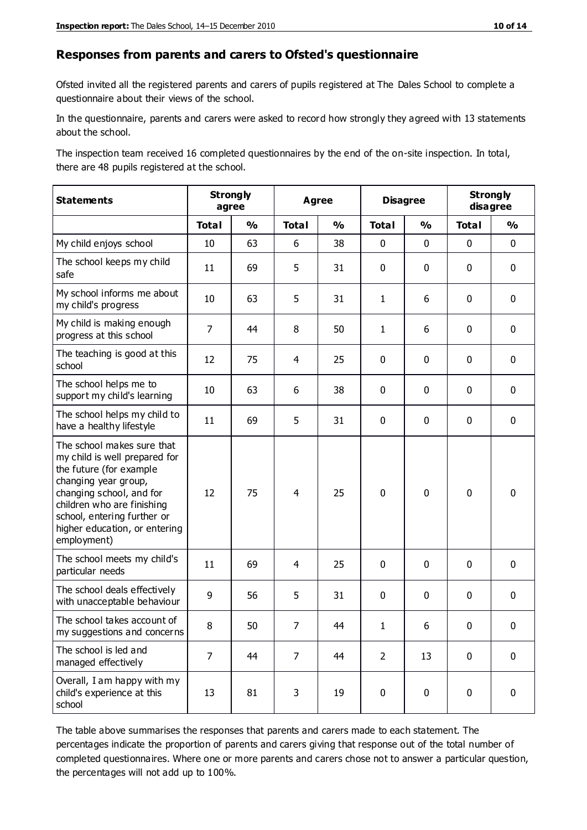#### **Responses from parents and carers to Ofsted's questionnaire**

Ofsted invited all the registered parents and carers of pupils registered at The Dales School to complete a questionnaire about their views of the school.

In the questionnaire, parents and carers were asked to record how strongly they agreed with 13 statements about the school.

The inspection team received 16 completed questionnaires by the end of the on-site inspection. In total, there are 48 pupils registered at the school.

| <b>Statements</b>                                                                                                                                                                                                                                       | <b>Strongly</b><br>agree |               | <b>Disagree</b><br><b>Agree</b> |               |                |               | <b>Strongly</b><br>disagree |               |
|---------------------------------------------------------------------------------------------------------------------------------------------------------------------------------------------------------------------------------------------------------|--------------------------|---------------|---------------------------------|---------------|----------------|---------------|-----------------------------|---------------|
|                                                                                                                                                                                                                                                         | <b>Total</b>             | $\frac{1}{2}$ | <b>Total</b>                    | $\frac{1}{2}$ | <b>Total</b>   | $\frac{1}{2}$ | <b>Total</b>                | $\frac{1}{2}$ |
| My child enjoys school                                                                                                                                                                                                                                  | 10                       | 63            | 6                               | 38            | 0              | $\mathbf 0$   | $\mathbf 0$                 | $\mathbf 0$   |
| The school keeps my child<br>safe                                                                                                                                                                                                                       | 11                       | 69            | 5                               | 31            | 0              | $\mathbf 0$   | $\mathbf 0$                 | $\mathbf 0$   |
| My school informs me about<br>my child's progress                                                                                                                                                                                                       | 10                       | 63            | 5                               | 31            | 1              | 6             | $\mathbf 0$                 | $\mathbf 0$   |
| My child is making enough<br>progress at this school                                                                                                                                                                                                    | $\overline{7}$           | 44            | 8                               | 50            | $\mathbf{1}$   | 6             | $\mathbf 0$                 | $\pmb{0}$     |
| The teaching is good at this<br>school                                                                                                                                                                                                                  | 12                       | 75            | 4                               | 25            | 0              | 0             | $\mathbf 0$                 | $\mathbf 0$   |
| The school helps me to<br>support my child's learning                                                                                                                                                                                                   | 10                       | 63            | 6                               | 38            | 0              | $\mathbf{0}$  | 0                           | $\mathbf 0$   |
| The school helps my child to<br>have a healthy lifestyle                                                                                                                                                                                                | 11                       | 69            | 5                               | 31            | 0              | 0             | $\mathbf 0$                 | $\mathbf 0$   |
| The school makes sure that<br>my child is well prepared for<br>the future (for example<br>changing year group,<br>changing school, and for<br>children who are finishing<br>school, entering further or<br>higher education, or entering<br>employment) | 12                       | 75            | 4                               | 25            | $\mathbf 0$    | 0             | $\mathbf 0$                 | $\mathbf 0$   |
| The school meets my child's<br>particular needs                                                                                                                                                                                                         | 11                       | 69            | 4                               | 25            | 0              | $\mathbf 0$   | $\mathbf 0$                 | $\mathbf 0$   |
| The school deals effectively<br>with unacceptable behaviour                                                                                                                                                                                             | 9                        | 56            | 5                               | 31            | 0              | 0             | 0                           | $\pmb{0}$     |
| The school takes account of<br>my suggestions and concerns                                                                                                                                                                                              | 8                        | 50            | $\overline{7}$                  | 44            | 1              | 6             | $\Omega$                    | $\Omega$      |
| The school is led and<br>managed effectively                                                                                                                                                                                                            | $\overline{7}$           | 44            | $\overline{7}$                  | 44            | $\overline{2}$ | 13            | $\mathbf 0$                 | $\mathbf 0$   |
| Overall, I am happy with my<br>child's experience at this<br>school                                                                                                                                                                                     | 13                       | 81            | 3                               | 19            | 0              | 0             | $\mathbf 0$                 | $\mathbf 0$   |

The table above summarises the responses that parents and carers made to each statement. The percentages indicate the proportion of parents and carers giving that response out of the total number of completed questionnaires. Where one or more parents and carers chose not to answer a particular question, the percentages will not add up to 100%.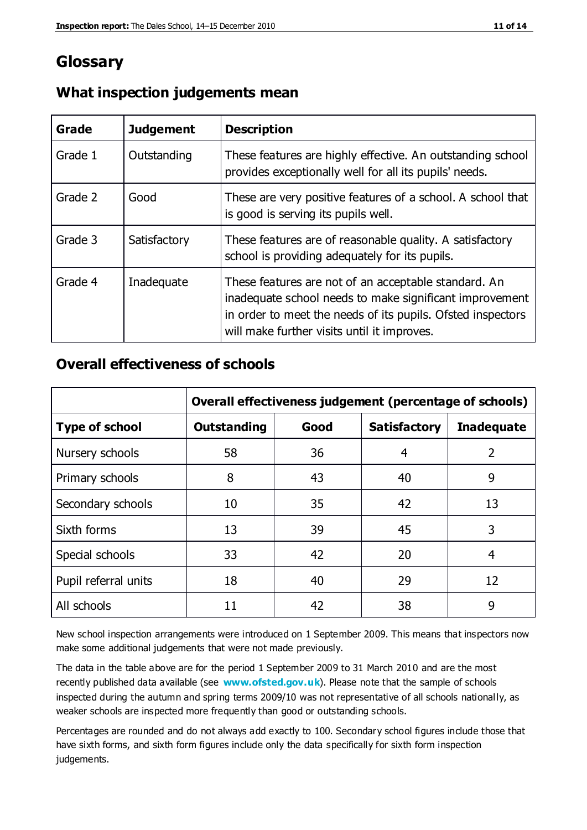## **Glossary**

| Grade   | <b>Judgement</b> | <b>Description</b>                                                                                                                                                                                                            |
|---------|------------------|-------------------------------------------------------------------------------------------------------------------------------------------------------------------------------------------------------------------------------|
| Grade 1 | Outstanding      | These features are highly effective. An outstanding school<br>provides exceptionally well for all its pupils' needs.                                                                                                          |
| Grade 2 | Good             | These are very positive features of a school. A school that<br>is good is serving its pupils well.                                                                                                                            |
| Grade 3 | Satisfactory     | These features are of reasonable quality. A satisfactory<br>school is providing adequately for its pupils.                                                                                                                    |
| Grade 4 | Inadequate       | These features are not of an acceptable standard. An<br>inadequate school needs to make significant improvement<br>in order to meet the needs of its pupils. Ofsted inspectors<br>will make further visits until it improves. |

#### **What inspection judgements mean**

#### **Overall effectiveness of schools**

|                       | Overall effectiveness judgement (percentage of schools) |      |                     |                   |  |
|-----------------------|---------------------------------------------------------|------|---------------------|-------------------|--|
| <b>Type of school</b> | <b>Outstanding</b>                                      | Good | <b>Satisfactory</b> | <b>Inadequate</b> |  |
| Nursery schools       | 58                                                      | 36   | 4                   | 2                 |  |
| Primary schools       | 8                                                       | 43   | 40                  | 9                 |  |
| Secondary schools     | 10                                                      | 35   | 42                  | 13                |  |
| Sixth forms           | 13                                                      | 39   | 45                  | 3                 |  |
| Special schools       | 33                                                      | 42   | 20                  | 4                 |  |
| Pupil referral units  | 18                                                      | 40   | 29                  | 12                |  |
| All schools           | 11                                                      | 42   | 38                  | 9                 |  |

New school inspection arrangements were introduced on 1 September 2009. This means that inspectors now make some additional judgements that were not made previously.

The data in the table above are for the period 1 September 2009 to 31 March 2010 and are the most recently published data available (see **[www.ofsted.gov.uk](http://www.ofsted.gov.uk/)**). Please note that the sample of schools inspected during the autumn and spring terms 2009/10 was not representative of all schools nationally, as weaker schools are inspected more frequently than good or outstanding schools.

Percentages are rounded and do not always add exactly to 100. Secondary school figures include those that have sixth forms, and sixth form figures include only the data specifically for sixth form inspection judgements.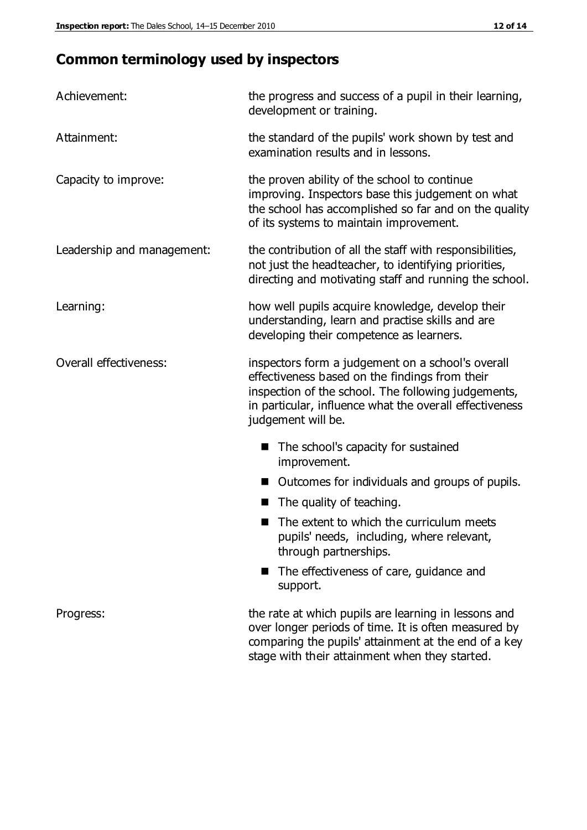## **Common terminology used by inspectors**

| Achievement:               | the progress and success of a pupil in their learning,<br>development or training.                                                                                                                                                          |
|----------------------------|---------------------------------------------------------------------------------------------------------------------------------------------------------------------------------------------------------------------------------------------|
| Attainment:                | the standard of the pupils' work shown by test and<br>examination results and in lessons.                                                                                                                                                   |
| Capacity to improve:       | the proven ability of the school to continue<br>improving. Inspectors base this judgement on what<br>the school has accomplished so far and on the quality<br>of its systems to maintain improvement.                                       |
| Leadership and management: | the contribution of all the staff with responsibilities,<br>not just the headteacher, to identifying priorities,<br>directing and motivating staff and running the school.                                                                  |
| Learning:                  | how well pupils acquire knowledge, develop their<br>understanding, learn and practise skills and are<br>developing their competence as learners.                                                                                            |
| Overall effectiveness:     | inspectors form a judgement on a school's overall<br>effectiveness based on the findings from their<br>inspection of the school. The following judgements,<br>in particular, influence what the overall effectiveness<br>judgement will be. |
|                            | The school's capacity for sustained<br>improvement.                                                                                                                                                                                         |
|                            | Outcomes for individuals and groups of pupils.                                                                                                                                                                                              |
|                            | The quality of teaching.                                                                                                                                                                                                                    |
|                            | The extent to which the curriculum meets<br>pupils' needs, including, where relevant,<br>through partnerships.                                                                                                                              |
|                            | The effectiveness of care, guidance and<br>support.                                                                                                                                                                                         |
| Progress:                  | the rate at which pupils are learning in lessons and<br>over longer periods of time. It is often measured by<br>comparing the pupils' attainment at the end of a key                                                                        |

stage with their attainment when they started.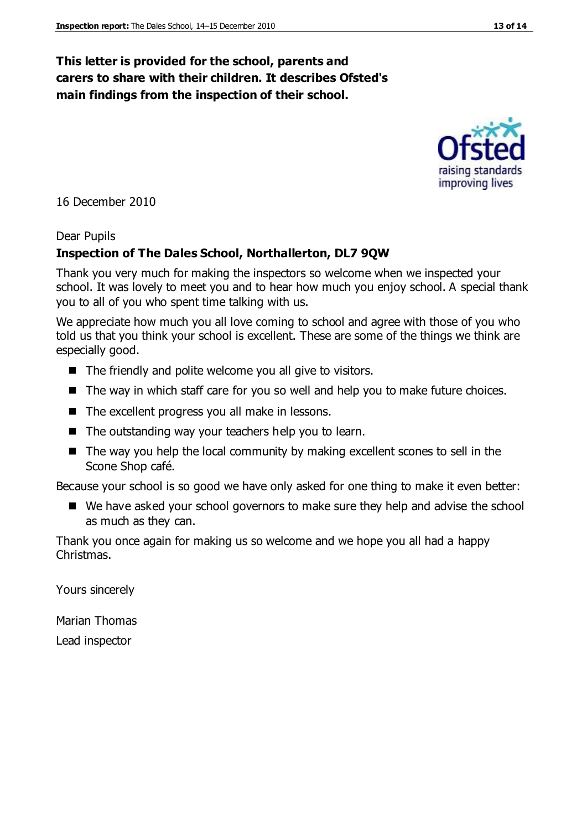### **This letter is provided for the school, parents and carers to share with their children. It describes Ofsted's main findings from the inspection of their school.**

16 December 2010

#### Dear Pupils

### **Inspection of The Dales School, Northallerton, DL7 9QW**

Thank you very much for making the inspectors so welcome when we inspected your school. It was lovely to meet you and to hear how much you enjoy school. A special thank you to all of you who spent time talking with us.

We appreciate how much you all love coming to school and agree with those of you who told us that you think your school is excellent. These are some of the things we think are especially good.

- The friendly and polite welcome you all give to visitors.
- The way in which staff care for you so well and help you to make future choices.
- The excellent progress you all make in lessons.
- The outstanding way your teachers help you to learn.
- The way you help the local community by making excellent scones to sell in the Scone Shop café.

Because your school is so good we have only asked for one thing to make it even better:

■ We have asked your school governors to make sure they help and advise the school as much as they can.

Thank you once again for making us so welcome and we hope you all had a happy Christmas.

Yours sincerely

Marian Thomas Lead inspector